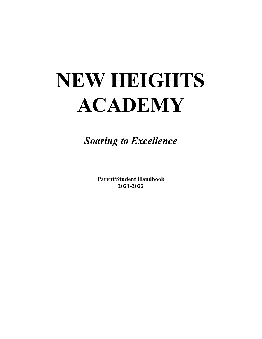# **NEW HEIGHTS ACADEMY**

*Soaring to Excellence*

**Parent/Student Handbook 2021-2022**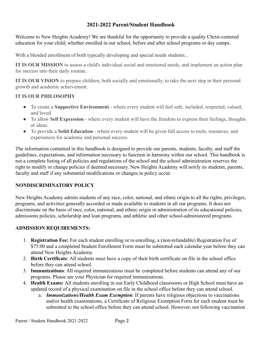#### **2021-2022 Parent/Student Handbook**

Welcome to New Heights Academy! We are thankful for the opportunity to provide a quality Christ-centered education for your child; whether enrolled in our school, before and after school programs or day camps.

With a blended enrollment of both typically developing and special needs students...

**IT IS OUR MISSION** to assess a child's individual social and emotional needs, and implement an action plan for success into their daily routine.

**IT IS OUR VISION** to prepare children, both socially and emotionally, to take the next step in their personal growth and academic achievement.

#### **IT IS OUR PHILOSOPHY**

- To create a **Supportive Environment** where every student will feel safe, included, respected, valued, and loved.
- To allow **Self Expression** where every student will have the freedom to express their feelings, thoughts or ideas.
- To provide a **Solid Education** where every student will be given full access to tools, resources, and experiences for academic and personal success.

The information contained in this handbook is designed to provide our parents, students, faculty, and staff the guidelines, expectations, and information necessary to function in harmony within our school. This handbook is not a complete listing of all policies and regulations of the school and the school administration reserves the right to modify or change policies if deemed necessary. New Heights Academy will notify its students, parents, faculty and staff if any substantial modifications or changes in policy occur.

#### **NONDISCRIMINATORY POLICY**

New Heights Academy admits students of any race, color, national, and ethnic origin to all the rights, privileges, programs, and activities generally accorded or made available to students in all our programs. It does not discriminate on the basis of race, color, national, and ethnic origin in administration of its educational policies, admissions policies, scholarship and loan programs, and athletic and other school-administered programs.

#### **ADMISSION REQUIREMENTS:**

- 1. **Registration Fee:** For each student enrolling or re-enrolling, a (non-refundable) Registration Fee of \$75.00 and a completed Student Enrollment Form must be submitted each calendar year before they can attend New Heights Academy.
- 2. **Birth Certificate**: All students must have a copy of their birth certificate on file in the school office before they can attend school.
- 3. **Immunizations**: All required immunizations must be completed before students can attend any of our programs. Please see your Physician for required immunizations.
- 4. **Health Exams:** All students enrolling in our Early Childhood classrooms or High School must have an updated record of a physical examination on file in the school office before they can attend school.
	- a. *Immunizations/Health Exam Exemption*: If parents have religious objections to vaccinations and/or health examinations, a Certificate of Religious Exemption Form for each student must be submitted to the school office before they can attend school. However, not following vaccination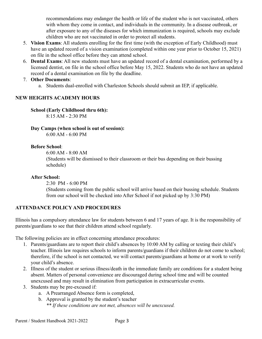recommendations may endanger the health or life of the student who is not vaccinated, others with whom they come in contact, and individuals in the community. In a disease outbreak, or after exposure to any of the diseases for which immunization is required, schools may exclude children who are not vaccinated in order to protect all students.

- 5. **Vision Exams**: All students enrolling for the first time (with the exception of Early Childhood) must have an updated record of a vision examination (completed within one year prior to October 15, 2021) on file in the school office before they can attend school.
- 6. **Dental Exams**: All new students must have an updated record of a dental examination, performed by a licensed dentist, on file in the school office before May 15, 2022. Students who do not have an updated record of a dental examination on file by the deadline.

#### 7. **Other Documents**:

a. Students dual-enrolled with Charleston Schools should submit an IEP, if applicable.

#### **NEW HEIGHTS ACADEMY HOURS**

**School (Early Childhood thru 6th):** 8:15 AM - 2:30 PM

**Day Camps (when school is out of session):** 6:00 AM - 6:00 PM

#### **Before School**:

6:00 AM - 8:00 AM

(Students will be dismissed to their classroom or their bus depending on their bussing schedule)

#### **After School:**

2:30 PM - 6:00 PM

(Students coming from the public school will arrive based on their bussing schedule. Students from our school will be checked into After School if not picked up by 3:30 PM)

#### **ATTENDANCE POLICY AND PROCEDURES**

Illinois has a compulsory attendance law for students between 6 and 17 years of age. It is the responsibility of parents/guardians to see that their children attend school regularly.

The following policies are in effect concerning attendance procedures:

- 1. Parents/guardians are to report their child's absences by 10:00 AM by calling or texting their child's teacher. Illinois law requires schools to inform parents/guardians if their children do not come to school; therefore, if the school is not contacted, we will contact parents/guardians at home or at work to verify your child's absence.
- 2. Illness of the student or serious illness/death in the immediate family are conditions for a student being absent. Matters of personal convenience are discouraged during school time and will be counted unexcused and may result in elimination from participation in extracurricular events.
- 3. Students may be pre-excused if:
	- a. A Prearranged Absence form is completed,
	- b. Approval is granted by the student's teacher
		- *\*\* If these conditions are not met, absences will be unexcused.*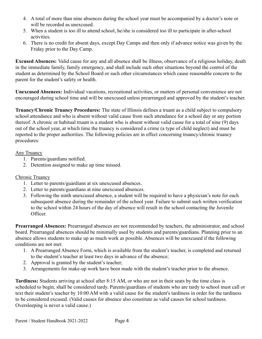- 4. A total of more than nine absences during the school year must be accompanied by a doctor's note or will be recorded as unexcused.
- 5. When a student is too ill to attend school, he/she is considered too ill to participate in after-school activities.
- 6. There is no credit for absent days, except Day Camps and then only if advance notice was given by the Friday prior to the Day Camp.

**Excused Absences:** Valid cause for any and all absence shall be illness, observance of a religious holiday, death in the immediate family, family emergency, and shall include such other situations beyond the control of the student as determined by the School Board or such other circumstances which cause reasonable concern to the parent for the student's safety or health.

**Unexcused Absences:** Individual vacations, recreational activities, or matters of personal convenience are not encouraged during school time and will be unexcused unless prearranged and approved by the student's teacher.

**Truancy/Chronic Truancy Procedures:** The state of Illinois defines a truant as a child subject to compulsory school attendance and who is absent without valid cause from such attendance for a school day or any portion thereof. A chronic or habitual truant is a student who is absent without valid cause for a total of nine (9) days out of the school year, at which time the truancy is considered a crime (a type of child neglect) and must be reported to the proper authorities. The following policies are in effect concerning truancy/chronic truancy procedures:

#### Any Truancy

- 1. Parents/guardians notified.
- 2. Detention assigned to make up time missed.

#### Chronic Truancy

- 1. Letter to parents/guardians at six unexcused absences.
- 2. Letter to parents/guardians at nine unexcused absences.
- 3. Following the ninth unexcused absence, a student will be required to have a physician's note for each subsequent absence during the remainder of the school year. Failure to submit such written verification to the school within 24 hours of the day of absence will result in the school contacting the Juvenile Officer.

**Prearranged Absences:** Prearranged absences are not recommended by teachers, the administrator, and school board. Prearranged absences should be minimally used by students and parents/guardians. Planning prior to an absence allows students to make up as much work as possible. Absences will be unexcused if the following conditions are not met:

- 1. A Prearranged Absence Form, which is available from the student's teacher, is completed and returned to the student's teacher at least two days in advance of the absence;
- 2. Approval is granted by the student's teacher;
- 3. Arrangements for make-up work have been made with the student's teacher prior to the absence.

**Tardiness:** Students arriving at school after 8:15 AM, or who are not in their seats by the time class is scheduled to begin, shall be considered tardy. Parents/guardians of students who are tardy to school must call or text their student's teacher by 10:00 AM with a valid cause for the student's tardiness in order for the tardiness to be considered excused. (Valid causes for absence also constitute as valid causes for school tardiness. Oversleeping is never a valid cause.)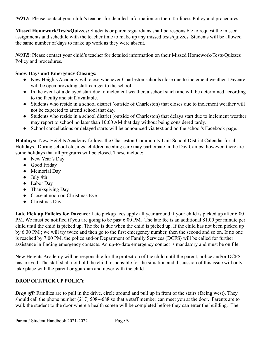*NOTE*: Please contact your child's teacher for detailed information on their Tardiness Policy and procedures.

**Missed Homework/Tests/Quizzes:** Students or parents/guardians shall be responsible to request the missed assignments and schedule with the teacher time to make up any missed tests/quizzes. Students will be allowed the same number of days to make up work as they were absent.

*NOTE*: Please contact your child's teacher for detailed information on their Missed Homework/Tests/Quizzes Policy and procedures.

#### **Snow Days and Emergency Closings:**

- New Heights Academy will close whenever Charleston schools close due to inclement weather. Daycare will be open providing staff can get to the school.
- In the event of a delayed start due to inclement weather, a school start time will be determined according to the faculty and staff available.
- Students who reside in a school district (outside of Charleston) that closes due to inclement weather will not be expected to attend school that day.
- Students who reside in a school district (outside of Charleston) that delays start due to inclement weather may report to school no later than 10:00 AM that day without being considered tardy.
- School cancellations or delayed starts will be announced via text and on the school's Facebook page.

**Holidays:** New Heights Academy follows the Charleston Community Unit School District Calendar for all Holidays. During school closings, children needing care may participate in the Day Camps; however, there are some holidays that all programs will be closed. These include:

- New Year's Day
- Good Friday
- Memorial Day
- July 4th
- Labor Day
- Thanksgiving Day
- Close at noon on Christmas Eve
- Christmas Dav

Late Pick up Policies for Daycare: Late pickup fees apply all year around if your child is picked up after 6:00 PM. We must be notified if you are going to be past 6:00 PM. The late fee is an additional \$1.00 per minute per child until the child is picked up. The fee is due when the child is picked up. If the child has not been picked up by 6:30 PM ; we will try twice and then go to the first emergency number, then the second and so on. If no one is reached by 7:00 PM. the police and/or Department of Family Services (DCFS) will be called for further assistance in finding emergency contacts. An up-to-date emergency contact is mandatory and must be on file.

New Heights Academy will be responsible for the protection of the child until the parent, police and/or DCFS has arrived. The staff shall not hold the child responsible for the situation and discussion of this issue will only take place with the parent or guardian and never with the child

#### **DROP OFF/PICK UP POLICY**

*Drop off:* Families are to pull in the drive, circle around and pull up in front of the stairs (facing west). They should call the phone number (217) 508-4688 so that a staff member can meet you at the door. Parents are to walk the student to the door where a health screen will be completed before they can enter the building. The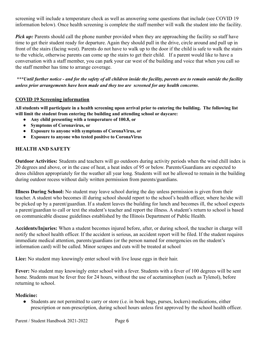screening will include a temperature check as well as answering some questions that include (see COVID 19 information below). Once health screening is complete the staff member will walk the student into the facility.

*Pick up:* Parents should call the phone number provided when they are approaching the facility so staff have time to get their student ready for departure. Again they should pull in the drive, circle around and pull up in front of the stairs (facing west). Parents do not have to walk up to the door if the child is safe to walk the stairs to the vehicle, otherwise parents can come up the stairs to get their child. If a parent would like to have a conversation with a staff member, you can park your car west of the building and voice that when you call so the staff member has time to arrange coverage.

\*\*\*Until further notice - and for the safety of all children inside the facility, parents are to remain outside the facility *unless prior arrangements have been made and they too are screened for any health concerns*.

#### **COVID 19 Screening information**

All students will participate in a health screening upon arrival prior to entering the building. The following list **will limit the student from entering the building and attending school or daycare:**

- **● Any child presenting with a temperature of 100.8, or**
- **● Symptoms of Coronavirus, or**
- **● Exposure to anyone with symptoms of CoronaVirus, or**
- **● Exposure to anyone who tested positive to CoronaVirus**

#### **HEALTH AND SAFETY**

**Outdoor Activities:** Students and teachers will go outdoors during activity periods when the wind chill index is 20 degrees and above, or in the case of heat, a heat index of 95 or below. Parents/Guardians are expected to dress children appropriately for the weather all year long. Students will not be allowed to remain in the building during outdoor recess without daily written permission from parents/guardians.

**Illness During School:** No student may leave school during the day unless permission is given from their teacher. A student who becomes ill during school should report to the school's health officer, where he/she will be picked up by a parent/guardian. If a student leaves the building for lunch and becomes ill, the school expects a parent/guardian to call or text the student's teacher and report the illness. A student's return to school is based on communicable disease guidelines established by the Illinois Department of Public Health.

**Accidents/Injuries:** When a student becomes injured before, after, or during school, the teacher in charge will notify the school health officer. If the accident is serious, an accident report will be filed. If the student requires immediate medical attention, parents/guardians (or the person named for emergencies on the student's information card) will be called. Minor scrapes and cuts will be treated at school

**Lice:** No student may knowingly enter school with live louse eggs in their hair.

**Fever:** No student may knowingly enter school with a fever. Students with a fever of 100 degrees will be sent home. Students must be fever free for 24 hours, without the use of acetaminophen (such as Tylenol), before returning to school.

#### **Medicine:**

● Students are not permitted to carry or store (i.e. in book bags, purses, lockers) medications, either prescription or non-prescription, during school hours unless first approved by the school health officer.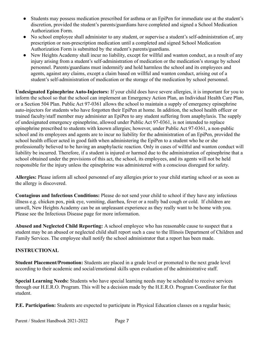- Students may possess medication prescribed for asthma or an EpiPen for immediate use at the student's discretion, provided the student's parents/guardians have completed and signed a School Medication Authorization Form.
- No school employee shall administer to any student, or supervise a student's self-administration of, any prescription or non-prescription medication until a completed and signed School Medication Authorization Form is submitted by the student's parents/guardians.
- New Heights Academy shall incur no liability, except for willful and wanton conduct, as a result of any injury arising from a student's self-administration of medication or the medication's storage by school personnel. Parents/guardians must indemnify and hold harmless the school and its employees and agents, against any claims, except a claim based on willful and wanton conduct, arising out of a student's self-administration of medication or the storage of the medication by school personnel.

**Undesignated Epinephrine Auto-Injectors:** If your child does have severe allergies, it is important for you to inform the school so that the school can implement an Emergency Action Plan, an Individual Health Care Plan, or a Section 504 Plan. Public Act 97-0361 allows the school to maintain a supply of emergency epinephrine auto-injectors for students who have forgotten their EpiPen at home. In addition, the school health officer or trained faculty/staff member may administer an EpiPen to any student suffering from anaphylaxis. The supply of undesignated emergency epinephrine, allowed under Public Act 97-0361, is not intended to replace epinephrine prescribed to students with known allergies; however, under Public Act 97-0361, a non-public school and its employees and agents are to incur no liability for the administration of an EpiPen, provided the school health officer acted in good faith when administering the EpiPen to a student who he or she professionally believed to be having an anaphylactic reaction. Only in cases of willful and wanton conduct will liability be incurred. Therefore, if a student is injured or harmed due to the administration of epinephrine that a school obtained under the provisions of this act, the school, its employees, and its agents will not be held responsible for the injury unless the epinephrine was administered with a conscious disregard for safety.

**Allergies:** Please inform all school personnel of any allergies prior to your child starting school or as soon as the allergy is discovered.

**Contagious and Infectious Conditions:** Please do not send your child to school if they have any infectious illness e.g. chicken pox, pink eye, vomiting, diarrhea, fever or a really bad cough or cold. If children are unwell, New Heights Academy can be an unpleasant experience as they really want to be home with you. Please see the Infectious Disease page for more information.

**Abused and Neglected Child Reporting:** A school employee who has reasonable cause to suspect that a student may be an abused or neglected child shall report such a case to the Illinois Department of Children and Family Services. The employee shall notify the school administrator that a report has been made.

#### **INSTRUCTIONAL**

**Student Placement/Promotion:** Students are placed in a grade level or promoted to the next grade level according to their academic and social/emotional skills upon evaluation of the administrative staff.

**Special Learning Needs:** Students who have special learning needs may be scheduled to receive services through our H.E.R.O. Program. This will be a decision made by the H.E.R.O. Program Coordinator for that student.

**P.E. Participation:** Students are expected to participate in Physical Education classes on a regular basis;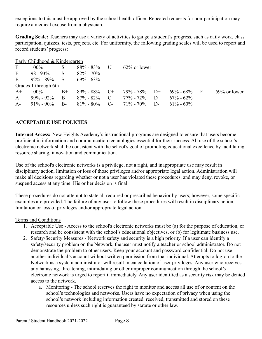exceptions to this must be approved by the school health officer. Repeated requests for non-participation may require a medical excuse from a physician.

**Grading Scale:** Teachers may use a variety of activities to gauge a student's progress, such as daily work, class participation, quizzes, tests, projects, etc. For uniformity, the following grading scales will be used to report and record students' progress:

|              | Early Childhood & Kindergarten    |      |                  |                                |       |                 |  |              |
|--------------|-----------------------------------|------|------------------|--------------------------------|-------|-----------------|--|--------------|
| $E+$         | $100\%$                           | $S+$ | $88\% - 83\%$ U  | $62\%$ or lower                |       |                 |  |              |
| E            | $98 - 93\%$ S                     |      | $82\% - 70\%$    |                                |       |                 |  |              |
|              | E- $92\% - 89\%$ S- $69\% - 63\%$ |      |                  |                                |       |                 |  |              |
|              | Grades 1 through 6th              |      |                  |                                |       |                 |  |              |
| $A^+$        | $100\%$                           | $B+$ | $89\% - 88\%$ C+ | $79\%$ - $78\%$ D+             |       | $69\% - 68\%$ F |  | 59% or lower |
| $\mathsf{A}$ | $99\% - 92\%$ B                   |      | $87\% - 82\%$ C  | 77% - 72% D                    |       | $67\% - 62\%$   |  |              |
| $A-$         | $91\% - 90\%$                     | $B-$ |                  | $81\% - 80\%$ C- $71\% - 70\%$ | $D$ - | $61\% - 60\%$   |  |              |

#### **ACCEPTABLE USE POLICIES**

**Internet Access:** New Heights Academy's instructional programs are designed to ensure that users become proficient in information and communication technologies essential for their success. All use of the school's electronic network shall be consistent with the school's goal of promoting educational excellence by facilitating resource sharing, innovation and communication.

Use of the school's electronic networks is a privilege, not a right, and inappropriate use may result in disciplinary action, limitation or loss of those privileges and/or appropriate legal action. Administration will make all decisions regarding whether or not a user has violated these procedures, and may deny, revoke, or suspend access at any time. His or her decision is final.

These procedures do not attempt to state all required or prescribed behavior by users; however, some specific examples are provided. The failure of any user to follow these procedures will result in disciplinary action, limitation or loss of privileges and/or appropriate legal action.

#### Terms and Conditions

- 1. Acceptable Use Access to the school's electronic networks must be (a) for the purpose of education, or research and be consistent with the school's educational objectives, or (b) for legitimate business use.
- 2. Safety/Security Measures Network safety and security is a high priority. If a user can identify a safety/security problem on the Network, the user must notify a teacher or school administrator. Do not demonstrate the problem to other users. Keep your account and password confidential. Do not use another individual's account without written permission from that individual. Attempts to log-on to the Network as a system administrator will result in cancellation of user privileges. Any user who receives any harassing, threatening, intimidating or other improper communication through the school's electronic network is urged to report it immediately. Any user identified as a security risk may be denied access to the network.
	- a. Monitoring The school reserves the right to monitor and access all use of or content on the school's technologies and networks. Users have no expectation of privacy when using the school's network including information created, received, transmitted and stored on these resources unless such right is guaranteed by statute or other law.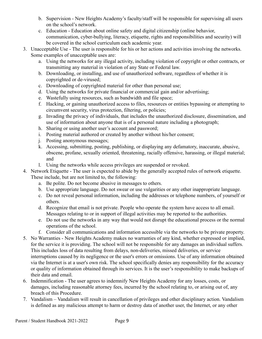- b. Supervision New Heights Academy's faculty/staff will be responsible for supervising all users on the school's network.
- c. Education Education about online safety and digital citizenship (online behavior, communication, cyber-bullying, literacy, etiquette, rights and responsibilities and security) will be covered in the school curriculum each academic year.
- 3. Unacceptable Use The user is responsible for his or her actions and activities involving the networks. Some examples of unacceptable uses are:
	- a. Using the networks for any illegal activity, including violation of copyright or other contracts, or transmitting any material in violation of any State or Federal law.
	- b. Downloading, or installing, and use of unauthorized software, regardless of whether it is copyrighted or de-virused;
	- c. Downloading of copyrighted material for other than personal use;
	- d. Using the networks for private financial or commercial gain and/or advertising;
	- e. Wastefully using resources, such as bandwidth and file space;
	- f. Hacking, or gaining unauthorized access to files, resources or entities bypassing or attempting to circumvent security, virus protection, filtering, or policies;
	- g. Invading the privacy of individuals, that includes the unauthorized disclosure, dissemination, and use of information about anyone that is of a personal nature including a photograph;
	- h. Sharing or using another user's account and password;
	- i. Posting material authored or created by another without his/her consent;
	- j. Posting anonymous messages;
	- k. Accessing, submitting, posting, publishing, or displaying any defamatory, inaccurate, abusive, obscene, profane, sexually oriented, threatening, racially offensive, harassing, or illegal material; and
	- l. Using the networks while access privileges are suspended or revoked.
- 4. Network Etiquette The user is expected to abide by the generally accepted rules of network etiquette. These include, but are not limited to, the following:
	- a. Be polite. Do not become abusive in messages to others.
	- b. Use appropriate language. Do not swear or use vulgarities or any other inappropriate language.
	- c. Do not reveal personal information, including the addresses or telephone numbers, of yourself or others.
	- d. Recognize that email is not private. People who operate the system have access to all email. Messages relating to or in support of illegal activities may be reported to the authorities.
	- e. Do not use the networks in any way that would not disrupt the educational process or the normal operations of the school.
	- f. Consider all communications and information accessible via the networks to be private property.
- 5. No Warranties New Heights Academy makes no warranties of any kind, whether expressed or implied, for the service it is providing. The school will not be responsible for any damages an individual suffers. This includes loss of data resulting from delays, non-deliveries, missed deliveries, or service interruptions caused by its negligence or the user's errors or omissions. Use of any information obtained via the Internet is at a user's own risk. The school specifically denies any responsibility for the accuracy or quality of information obtained through its services. It is the user's responsibility to make backups of their data and email.
- 6. Indemnification The user agrees to indemnify New Heights Academy for any losses, costs, or damages, including reasonable attorney fees, incurred by the school relating to, or arising out of, any breach of this Procedure.
- 7. Vandalism Vandalism will result in cancellation of privileges and other disciplinary action. Vandalism is defined as any malicious attempt to harm or destroy data of another user, the Internet, or any other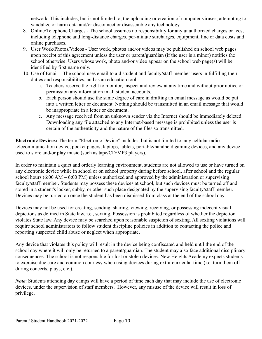network. This includes, but is not limited to, the uploading or creation of computer viruses, attempting to vandalize or harm data and/or disconnect or disassemble any technology.

- 8. Online/Telephone Charges The school assumes no responsibility for any unauthorized charges or fees, including telephone and long-distance charges, per-minute surcharges, equipment, line or data costs and online purchases.
- 9. User Work/Photos/Videos User work, photos and/or videos may be published on school web pages upon receipt of this agreement unless the user or parent/guardian (if the user is a minor) notifies the school otherwise. Users whose work, photo and/or video appear on the school web page(s) will be identified by first name only.
- 10. Use of Email The school uses email to aid student and faculty/staff member users in fulfilling their duties and responsibilities, and as an education tool.
	- a. Teachers reserve the right to monitor, inspect and review at any time and without prior notice or permission any information in all student accounts.
	- b. Each person should use the same degree of care in drafting an email message as would be put into a written letter or document. Nothing should be transmitted in an email message that would be inappropriate in a letter or document.
	- c. Any message received from an unknown sender via the Internet should be immediately deleted. Downloading any file attached to any Internet-based message is prohibited unless the user is certain of the authenticity and the nature of the files so transmitted.

**Electronic Devices:** The term "Electronic Device" includes, but is not limited to, any cellular radio telecommunication device, pocket pagers, laptops, tablets, portable/handheld gaming devices, and any device used to store and/or play music (such as tape/CD/MP3 players).

In order to maintain a quiet and orderly learning environment, students are not allowed to use or have turned on any electronic device while in school or on school property during before school, after school and the regular school hours (6:00 AM – 6:00 PM) unless authorized and approved by the administration or supervising faculty/staff member. Students may possess these devices at school, but such devices must be turned off and stored in a student's locker, cubby, or other such place designated by the supervising faculty/staff member. Devices may be turned on once the student has been dismissed from class at the end of the school day.

Devices may not be used for creating, sending, sharing, viewing, receiving, or possessing indecent visual depictions as defined in State law, i.e., sexting. Possession is prohibited regardless of whether the depiction violates State law. Any device may be searched upon reasonable suspicion of sexting. All sexting violations will require school administrators to follow student discipline policies in addition to contacting the police and reporting suspected child abuse or neglect when appropriate.

Any device that violates this policy will result in the device being confiscated and held until the end of the school day where it will only be returned to a parent/guardian. The student may also face additional disciplinary consequences. The school is not responsible for lost or stolen devices. New Heights Academy expects students to exercise due care and common courtesy when using devices during extra-curricular time (i.e. turn them off during concerts, plays, etc.).

*Note*: Students attending day camps will have a period of time each day that may include the use of electronic devices, under the supervision of staff members. However, any misuse of the device will result in loss of privilege.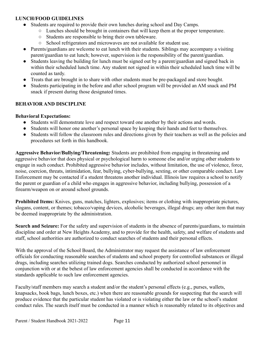#### **LUNCH/FOOD GUIDELINES**

- Students are required to provide their own lunches during school and Day Camps.
	- Lunches should be brought in containers that will keep them at the proper temperature.
	- Students are responsible to bring their own tableware.
	- School refrigerators and microwaves are not available for student use.
- Parents/guardians are welcome to eat lunch with their students. Siblings may accompany a visiting parent/guardian to eat lunch; however, supervision is the responsibility of the parent/guardian.
- Students leaving the building for lunch must be signed out by a parent/guardian and signed back in within their scheduled lunch time. Any student not signed in within their scheduled lunch time will be counted as tardy.
- Treats that are brought in to share with other students must be pre-packaged and store bought.
- Students participating in the before and after school program will be provided an AM snack and PM snack if present during those designated times.

#### **BEHAVIOR AND DISCIPLINE**

#### **Behavioral Expectations:**

- Students will demonstrate love and respect toward one another by their actions and words.
- Students will honor one another's personal space by keeping their hands and feet to themselves.
- Students will follow the classroom rules and directions given by their teachers as well as the policies and procedures set forth in this handbook.

**Aggressive Behavior/Bullying/Threatening:** Students are prohibited from engaging in threatening and aggressive behavior that does physical or psychological harm to someone else and/or urging other students to engage in such conduct. Prohibited aggressive behavior includes, without limitation, the use of violence, force, noise, coercion, threats, intimidation, fear, bullying, cyber-bullying, sexting, or other comparable conduct. Law Enforcement may be contacted if a student threatens another individual. Illinois law requires a school to notify the parent or guardian of a child who engages in aggressive behavior, including bullying, possession of a firearm/weapon on or around school grounds.

**Prohibited Items:** Knives, guns, matches, lighters, explosives; items or clothing with inappropriate pictures, slogans, content, or themes; tobacco/vaping devices, alcoholic beverages, illegal drugs; any other item that may be deemed inappropriate by the administration.

**Search and Seizure:** For the safety and supervision of students in the absence of parents/guardians, to maintain discipline and order at New Heights Academy, and to provide for the health, safety, and welfare of students and staff, school authorities are authorized to conduct searches of students and their personal effects.

With the approval of the School Board, the Administrator may request the assistance of law enforcement officials for conducting reasonable searches of students and school property for controlled substances or illegal drugs, including searches utilizing trained dogs. Searches conducted by authorized school personnel in conjunction with or at the behest of law enforcement agencies shall be conducted in accordance with the standards applicable to such law enforcement agencies.

Faculty/staff members may search a student and/or the student's personal effects (e.g., purses, wallets, knapsacks, book bags, lunch boxes, etc.) when there are reasonable grounds for suspecting that the search will produce evidence that the particular student has violated or is violating either the law or the school's student conduct rules. The search itself must be conducted in a manner which is reasonably related to its objectives and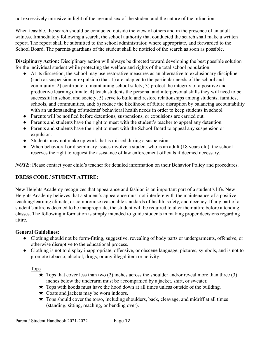not excessively intrusive in light of the age and sex of the student and the nature of the infraction.

When feasible, the search should be conducted outside the view of others and in the presence of an adult witness. Immediately following a search, the school authority that conducted the search shall make a written report. The report shall be submitted to the school administrator, where appropriate, and forwarded to the School Board. The parents/guardians of the student shall be notified of the search as soon as possible.

**Disciplinary Action:** Disciplinary action will always be directed toward developing the best possible solution for the individual student while protecting the welfare and rights of the total school population.

- At its discretion, the school may use restorative measures as an alternative to exclusionary discipline (such as suspension or expulsion) that: 1) are adapted to the particular needs of the school and community; 2) contribute to maintaining school safety; 3) protect the integrity of a positive and productive learning climate; 4) teach students the personal and interpersonal skills they will need to be successful in school and society; 5) serve to build and restore relationships among students, families, schools, and communities, and; 6) reduce the likelihood of future disruption by balancing accountability with an understanding of students' behavioral health needs in order to keep students in school.
- Parents will be notified before detentions, suspensions, or expulsions are carried out.
- Parents and students have the right to meet with the student's teacher to appeal any detention.
- Parents and students have the right to meet with the School Board to appeal any suspension or expulsion.
- Students may not make up work that is missed during a suspension.
- When behavioral or disciplinary issues involve a student who is an adult (18 years old), the school reserves the right to request the assistance of law enforcement officials if deemed necessary.

*NOTE*: Please contact your child's teacher for detailed information on their Behavior Policy and procedures.

#### **DRESS CODE / STUDENT ATTIRE:**

New Heights Academy recognizes that appearance and fashion is an important part of a student's life. New Heights Academy believes that a student's appearance must not interfere with the maintenance of a positive teaching/learning climate, or compromise reasonable standards of health, safety, and decency. If any part of a student's attire is deemed to be inappropriate, the student will be required to alter their attire before attending classes. The following information is simply intended to guide students in making proper decisions regarding attire.

#### **General Guidelines:**

- Clothing should not be form-fitting, suggestive, revealing of body parts or undergarments, offensive, or otherwise disruptive to the educational process.
- Clothing is not to display inappropriate, offensive, or obscene language, pictures, symbols, and is not to promote tobacco, alcohol, drugs, or any illegal item or activity.

Tops

- $\star$  Tops that cover less than two (2) inches across the shoulder and/or reveal more than three (3) inches below the underarm must be accompanied by a jacket, shirt, or sweater.
- $\star$  Tops with hoods must have the hood down at all times unless outside of the building.
- $\star$  Coats and jackets may be worn indoors.
- $\star$  Tops should cover the torso, including shoulders, back, cleavage, and midriff at all times (standing, sitting, reaching, or bending over).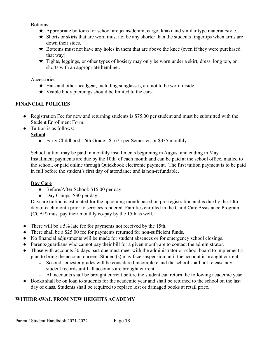Bottoms:

- $\star$  Appropriate bottoms for school are jeans/denim, cargo, khaki and similar type material/style.
- $\star$  Shorts or skirts that are worn must not be any shorter than the students fingertips when arms are down their sides.
- $\star$  Bottoms must not have any holes in them that are above the knee (even if they were purchased that way).
- ★ Tights, leggings, or other types of hosiery may only be worn under a skirt, dress, long top, or shorts with an appropriate hemline..

#### Accessories:

- $\star$  Hats and other headgear, including sunglasses, are not to be worn inside.
- $\star$  Visible body piercings should be limited to the ears.

#### **FINANCIAL POLICIES**

- Registration Fee for new and returning students is \$75.00 per student and must be submitted with the Student Enrollment Form.
- Tuition is as follows:

#### **School**

• Early Childhood - 6th Grade:: \$1675 per Semester; or \$335 monthly

School tuition may be paid in monthly installments beginning in August and ending in May. Installment payments are due by the 10th of each month and can be paid at the school office, mailed to the school, or paid online through Quickbook electronic payment. The first tuition payment is to be paid in full before the student's first day of attendance and is non-refundable.

#### **Day Care**

- Before/After School: \$15.00 per day
- Day Camps: \$30 per day

Daycare tuition is estimated for the upcoming month based on pre-registration and is due by the 10th day of each month prior to services rendered. Families enrolled in the Child Care Assistance Program (CCAP) must pay their monthly co-pay by the 15th as well.

- There will be a 5% late fee for payments not received by the 15th.
- There shall be a \$25.00 fee for payments returned for non-sufficient funds.
- No financial adjustments will be made for student absences or for emergency school closings.
- Parents/guardians who cannot pay their bill for a given month are to contact the administrator.
- Those with accounts 30 days past due must meet with the administrator or school board to implement a plan to bring the account current. Student(s) may face suspension until the account is brought current.
	- Second semester grades will be considered incomplete and the school shall not release any student records until all accounts are brought current.
	- All accounts shall be brought current before the student can return the following academic year.
- Books shall be on loan to students for the academic year and shall be returned to the school on the last day of class. Students shall be required to replace lost or damaged books at retail price.

#### **WITHDRAWAL FROM NEW HEIGHTS ACADEMY**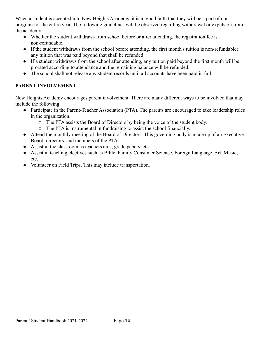When a student is accepted into New Heights Academy, it is in good faith that they will be a part of our program for the entire year. The following guidelines will be observed regarding withdrawal or expulsion from the academy:

- Whether the student withdraws from school before or after attending, the registration fee is non-refundable.
- If the student withdraws from the school before attending, the first month's tuition is non-refundable; any tuition that was paid beyond that shall be refunded.
- If a student withdraws from the school after attending, any tuition paid beyond the first month will be prorated according to attendance and the remaining balance will be refunded.
- The school shall not release any student records until all accounts have been paid in full.

#### **PARENT INVOLVEMENT**

New Heights Academy encourages parent involvement. There are many different ways to be involved that may include the following:

- Participate in the Parent-Teacher Association (PTA). The parents are encouraged to take leadership roles in the organization.
	- The PTA assists the Board of Directors by being the voice of the student body.
	- The PTA is instrumental in fundraising to assist the school financially.
- Attend the monthly meeting of the Board of Directors. This governing body is made up of an Executive Board, directors, and members of the PTA.
- Assist in the classroom as teachers aids, grade papers, etc.
- Assist in teaching electives such as Bible, Family Consumer Science, Foreign Language, Art, Music, etc.
- Volunteer on Field Trips. This may include transportation.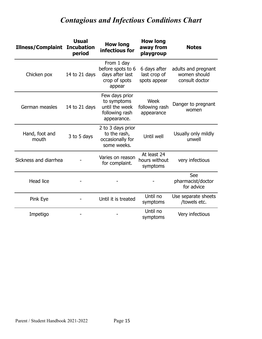## *Contagious and Infectious Conditions Chart*

| <b>Illness/Complaint</b> | <b>Usual</b><br><b>Incubation</b><br>period | <b>How long</b><br>infectious for                                                | <b>How long</b><br>away from<br>playgroup    | <b>Notes</b>                                          |  |
|--------------------------|---------------------------------------------|----------------------------------------------------------------------------------|----------------------------------------------|-------------------------------------------------------|--|
| Chicken pox              | 14 to 21 days                               | From 1 day<br>before spots to 6<br>days after last<br>crop of spots<br>appear    | 6 days after<br>last crop of<br>spots appear | adults and pregnant<br>women should<br>consult doctor |  |
| German measles           | 14 to 21 days                               | Few days prior<br>to symptoms<br>until the week<br>following rash<br>appearance. | Week<br>following rash<br>appearance         | Danger to pregnant<br>women                           |  |
| Hand, foot and<br>mouth  | 3 to 5 days                                 | 2 to 3 days prior<br>to the rash,<br>occasionally for<br>some weeks.             | Until well                                   | Usually only mildly<br>unwell                         |  |
| Sickness and diarrhea    |                                             | Varies on reason<br>for complaint.                                               | At least 24<br>hours without<br>symptoms     | very infectious                                       |  |
| <b>Head lice</b>         |                                             |                                                                                  |                                              | See<br>pharmacist/doctor<br>for advice                |  |
| Pink Eye                 |                                             | Until it is treated                                                              | Until no<br>symptoms                         | Use separate sheets<br>/towels etc.                   |  |
| Impetigo                 |                                             |                                                                                  | Until no<br>symptoms                         | Very infectious                                       |  |